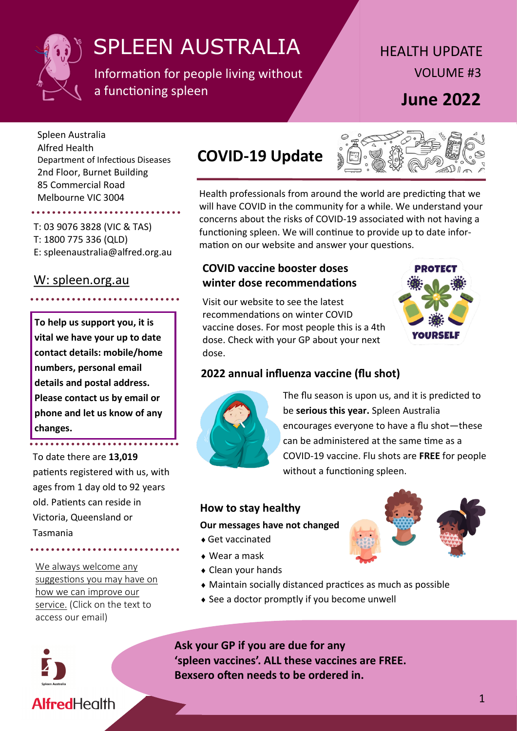

Information for people living without a functioning spleen

# HEALTH UPDATE VOLUME #3 **June 2022**

Spleen Australia Alfred Health Department of Infectious Diseases 2nd Floor, Burnet Building 85 Commercial Road Melbourne VIC 3004

## T: 03 9076 3828 (VIC & TAS)

T: 1800 775 336 (QLD) E: spleenaustralia@alfred.org.au

### [W: spleen.org.au](https://spleen.org.au)

**To help us support you, it is vital we have your up to date contact details: mobile/home numbers, personal email details and postal address. Please contact us by email or phone and let us know of any changes.** 

To date there are **13,019** patients registered with us, with ages from 1 day old to 92 years old. Patients can reside in Victoria, Queensland or Tasmania

[We always welcome any](mailto:spleenaustralia@alfred.org.au)  [suggestions you may have on](mailto:spleenaustralia@alfred.org.au)  [how we can improve our](mailto:spleenaustralia@alfred.org.au)  [service.](mailto:spleenaustralia@alfred.org.au) (Click on the text to access our email)



# **COVID-19 Update**



Health professionals from around the world are predicting that we will have COVID in the community for a while. We understand your concerns about the risks of COVID-19 associated with not having a functioning spleen. We will continue to provide up to date information on our website and answer your questions.

#### **COVID vaccine booster doses winter dose recommendations**





### **2022 annual influenza vaccine (flu shot)**



The flu season is upon us, and it is predicted to be **serious this year.** Spleen Australia encourages everyone to have a flu shot—these can be administered at the same time as a COVID-19 vaccine. Flu shots are **FREE** for people without a functioning spleen.

#### **How to stay healthy**

#### **Our messages have not changed**

- Get vaccinated
- Wear a mask
- Clean your hands
- Maintain socially distanced practices as much as possible
- See a doctor promptly if you become unwell

**Ask your GP if you are due for any 'spleen vaccines'. ALL these vaccines are FREE. Bexsero often needs to be ordered in.**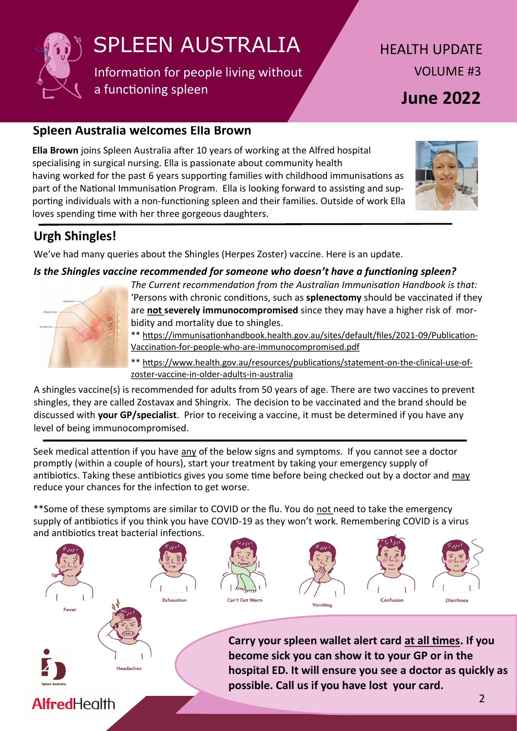

Information for people living without a functioning spleen

HEALTH UPDATE VOLUME #3 **June 2022**

### **Spleen Australia welcomes Ella Brown**

**Ella Brown** joins Spleen Australia after 10 years of working at the Alfred hospital specialising in surgical nursing. Ella is passionate about community health having worked for the past 6 years supporting families with childhood immunisations as part of the National Immunisation Program. Ella is looking forward to assisting and supporting individuals with a non-functioning spleen and their families. Outside of work Ella loves spending time with her three gorgeous daughters.



## **Urgh Shingles!**

We've had many queries about the Shingles (Herpes Zoster) vaccine. Here is an update.

*Is the Shingles vaccine recommended for someone who doesn't have a functioning spleen?*



*The Current recommendation from the Australian Immunisation Handbook is that:*  'Persons with chronic conditions, such as **splenectomy** should be vaccinated if they are **not severely immunocompromised** since they may have a higher risk of morbidity and mortality due to shingles.

\*\* [https://immunisationhandbook.health.gov.au/sites/default/files/2021](https://immunisationhandbook.health.gov.au/sites/default/files/2021-09/Publication-Vaccination-for-people-who-are-immunocompromised.pdf)-09/Publication-Vaccination-for-people-who-are-[immunocompromised.pdf](https://immunisationhandbook.health.gov.au/sites/default/files/2021-09/Publication-Vaccination-for-people-who-are-immunocompromised.pdf)

\*\* [https://www.health.gov.au/resources/publications/statement](https://www.health.gov.au/resources/publications/statement-on-the-clinical-use-of-zoster-vaccine-in-older-adults-in-australia)-on-the-clinical-use-ofzoster-vaccine-in-older-adults-in-[australia](https://www.health.gov.au/resources/publications/statement-on-the-clinical-use-of-zoster-vaccine-in-older-adults-in-australia)

A shingles vaccine(s) is recommended for adults from 50 years of age. There are two vaccines to prevent shingles, they are called Zostavax and Shingrix. The decision to be vaccinated and the brand should be discussed with **your GP/specialist**. Prior to receiving a vaccine, it must be determined if you have any level of being immunocompromised.

Seek medical attention if you have any of the below signs and symptoms. If you cannot see a doctor promptly (within a couple of hours), start your treatment by taking your emergency supply of antibiotics. Taking these antibiotics gives you some time before being checked out by a doctor and may reduce your chances for the infection to get worse.

\*\*Some of these symptoms are similar to COVID or the flu. You do not need to take the emergency supply of antibiotics if you think you have COVID-19 as they won't work. Remembering COVID is a virus and antibiotics treat bacterial infections.

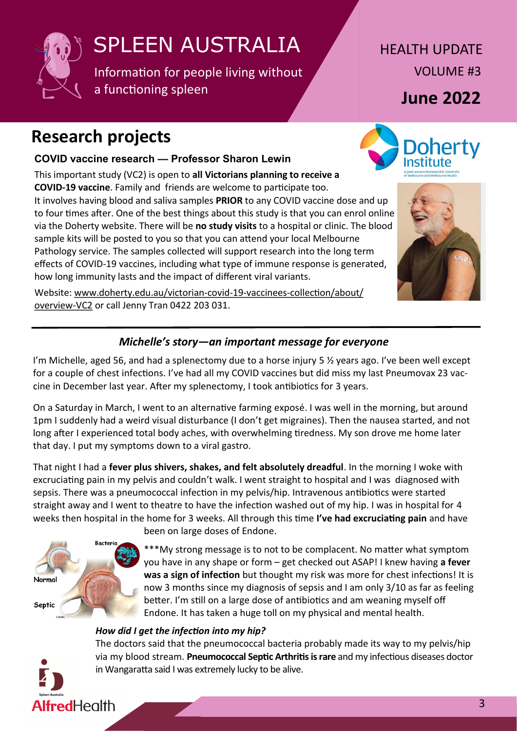

Information for people living without a functioning spleen

HEALTH UPDATE VOLUME #3

**June 2022**

**Doherty** 

# **Research projects**

### **COVID vaccine research — Professor Sharon Lewin**

This important study (VC2) is open to **all Victorians planning to receive a COVID-19 vaccine**. Family and friends are welcome to participate too. It involves having blood and saliva samples **PRIOR** to any COVID vaccine dose and up to four times after. One of the best things about this study is that you can enrol online via the Doherty website. There will be **no study visits** to a hospital or clinic. The blood sample kits will be posted to you so that you can attend your local Melbourne Pathology service. The samples collected will support research into the long term effects of COVID-19 vaccines, including what type of immune response is generated, how long immunity lasts and the impact of different viral variants.

Website: [www.doherty.edu.au/victorian](http://www.doherty.edu.au/victorian-covid-19-vaccinees-collection/about/overview-VC2)-covid-19-vaccinees-collection/about/ [overview](http://www.doherty.edu.au/victorian-covid-19-vaccinees-collection/about/overview-VC2)-VC2 or call Jenny Tran 0422 203 031.

## *Michelle's story—an important message for everyone*

I'm Michelle, aged 56, and had a splenectomy due to a horse injury 5  $\frac{1}{2}$  years ago. I've been well except for a couple of chest infections. I've had all my COVID vaccines but did miss my last Pneumovax 23 vaccine in December last year. After my splenectomy, I took antibiotics for 3 years.

On a Saturday in March, I went to an alternative farming exposé. I was well in the morning, but around 1pm I suddenly had a weird visual disturbance (I don't get migraines). Then the nausea started, and not long after I experienced total body aches, with overwhelming tiredness. My son drove me home later that day. I put my symptoms down to a viral gastro.

That night I had a **fever plus shivers, shakes, and felt absolutely dreadful**. In the morning I woke with excruciating pain in my pelvis and couldn't walk. I went straight to hospital and I was diagnosed with sepsis. There was a pneumococcal infection in my pelvis/hip. Intravenous antibiotics were started straight away and I went to theatre to have the infection washed out of my hip. I was in hospital for 4 weeks then hospital in the home for 3 weeks. All through this time **I've had excruciating pain** and have



been on large doses of Endone.

\*\*\*My strong message is to not to be complacent. No matter what symptom you have in any shape or form – get checked out ASAP! I knew having **a fever was a sign of infection** but thought my risk was more for chest infections! It is now 3 months since my diagnosis of sepsis and I am only 3/10 as far as feeling better. I'm still on a large dose of antibiotics and am weaning myself off Endone. It has taken a huge toll on my physical and mental health.

#### *How did I get the infection into my hip?*

The doctors said that the pneumococcal bacteria probably made its way to my pelvis/hip via my blood stream. **Pneumococcal Septic Arthritis is rare** and my infectious diseases doctor in Wangaratta said I was extremely lucky to be alive.